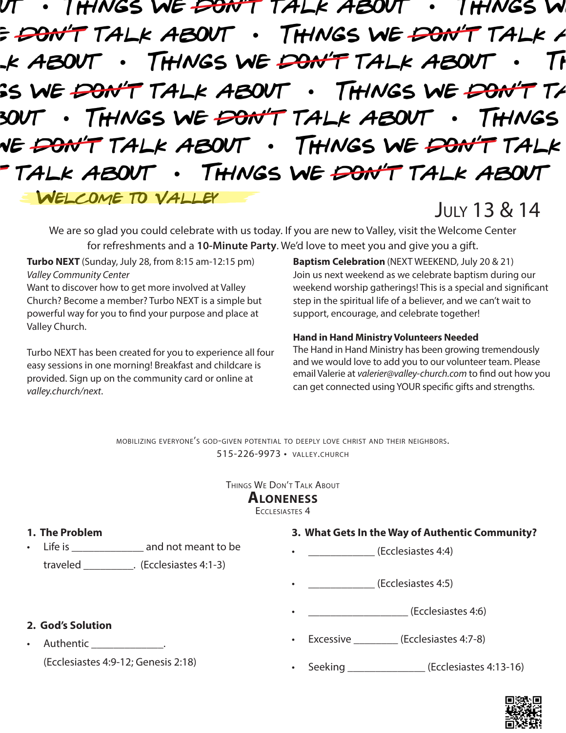THINGS WE <del>DON'T</del> TALK ABOUT I HINGS W THINGS WE DON'T TALK A E DON'T TALK ABOUT . THINGS WE DON'T TALK ABOUT .K ABOUT 71 SS WE <del>DON'T</del> TALK ABOUT . THINGS WE <del>DON'T</del>  $T\!\!\!\mathscr{F}$ THINGS WE DON'T TALK ABOUT THINGS NE <del>DON'T</del> TALK ABOUT . THINGS WE <del>DON'T</del> TALK THINGS WE <del>DON'T</del> TALK ABOUT TALK ABOUT . WELCOME TO VALLEY July 13 & 14

We are so glad you could celebrate with us today. If you are new to Valley, visit the Welcome Center for refreshments and a **10-Minute Party**. We'd love to meet you and give you a gift.

**Turbo NEXT** (Sunday, July 28, from 8:15 am-12:15 pm) *Valley Community Center*

Want to discover how to get more involved at Valley Church? Become a member? Turbo NEXT is a simple but powerful way for you to find your purpose and place at Valley Church.

Turbo NEXT has been created for you to experience all four easy sessions in one morning! Breakfast and childcare is provided. Sign up on the community card or online at *valley.church/next*.

**Baptism Celebration** (NEXT WEEKEND, July 20 & 21) Join us next weekend as we celebrate baptism during our weekend worship gatherings! This is a special and significant step in the spiritual life of a believer, and we can't wait to support, encourage, and celebrate together!

#### **Hand in Hand Ministry Volunteers Needed**

The Hand in Hand Ministry has been growing tremendously and we would love to add you to our volunteer team. Please email Valerie at *valerier@valley-church.com* to find out how you can get connected using YOUR specific gifts and strengths.

mobilizing everyone's god-given potential to deeply love christ and their neighbors. 515-226-9973 • valley.church

> Things We Don't Talk About **Aloneness**

Ecclesiastes 4

| 1. The Problem                      | 3. What Gets In the Way of Authentic Community? |
|-------------------------------------|-------------------------------------------------|
|                                     | (Ecclesiastes 4:4)<br>$\bullet$                 |
| traveled (Ecclesiastes 4:1-3)       |                                                 |
|                                     | (Ecclesiastes 4:5)<br>$\bullet$                 |
|                                     | (Ecclesiastes 4:6)<br>$\bullet$                 |
| 2. God's Solution                   |                                                 |
| Authentic _______________.          | Excessive (Ecclesiastes 4:7-8)<br>$\bullet$     |
| (Ecclesiastes 4:9-12; Genesis 2:18) | Seeking (Ecclesiastes 4:13-16)                  |